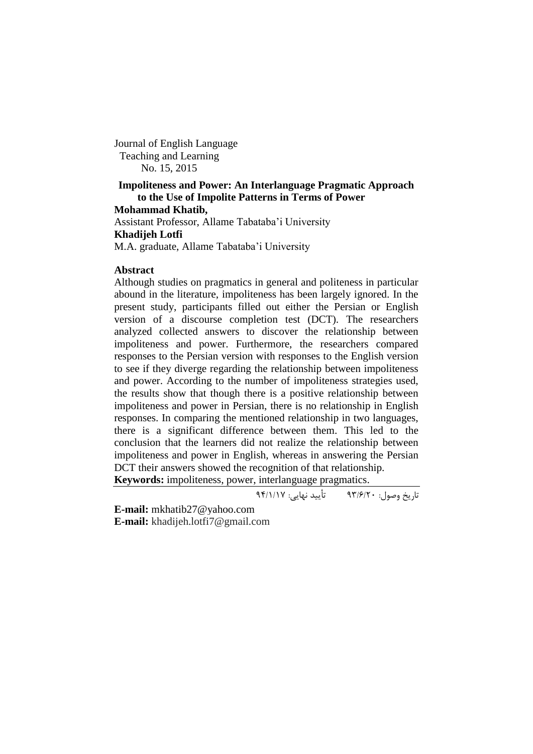Journal of English Language Teaching and Learning No. 15, 2015

# **Impoliteness and Power: An Interlanguage Pragmatic Approach to the Use of Impolite Patterns in Terms of Power**

**Mohammad Khatib,** 

Assistant Professor, Allame Tabataba'i University **Khadijeh Lotfi** M.A. graduate, Allame Tabataba'i University

## **Abstract**

Although studies on pragmatics in general and politeness in particular abound in the literature, impoliteness has been largely ignored. In the present study, participants filled out either the Persian or English version of a discourse completion test (DCT). The researchers analyzed collected answers to discover the relationship between impoliteness and power. Furthermore, the researchers compared responses to the Persian version with responses to the English version to see if they diverge regarding the relationship between impoliteness and power. According to the number of impoliteness strategies used, the results show that though there is a positive relationship between impoliteness and power in Persian, there is no relationship in English responses. In comparing the mentioned relationship in two languages, there is a significant difference between them. This led to the conclusion that the learners did not realize the relationship between impoliteness and power in English, whereas in answering the Persian DCT their answers showed the recognition of that relationship.

**Keywords:** impoliteness, power, interlanguage pragmatics.

تاریخ وصول: 39/6/02 تأیید نهایی: 39/7/71

**E-mail:** mkhatib27@yahoo.com **E-mail:** khadijeh.lotfi7@gmail.com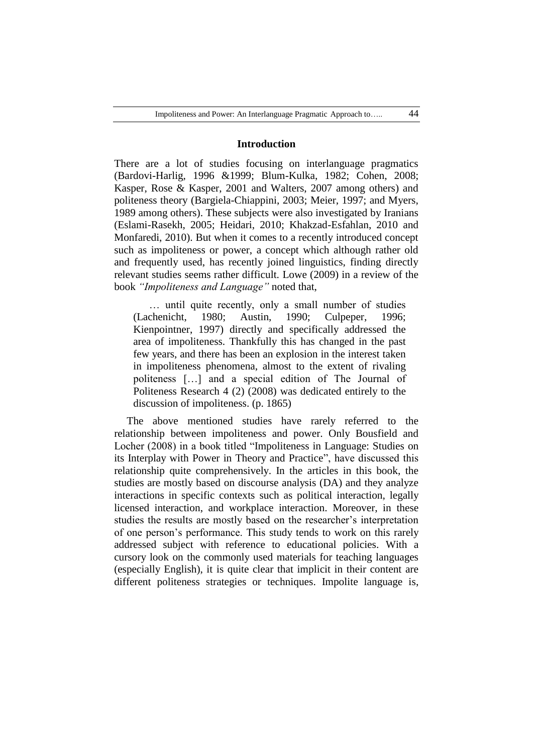### **Introduction**

There are a lot of studies focusing on interlanguage pragmatics (Bardovi-Harlig, 1996 &1999; Blum-Kulka, 1982; Cohen, 2008; Kasper, Rose & Kasper, 2001 and Walters, 2007 among others) and politeness theory (Bargiela-Chiappini, 2003; Meier, 1997; and Myers, 1989 among others). These subjects were also investigated by Iranians (Eslami-Rasekh, 2005; Heidari, 2010; Khakzad-Esfahlan, 2010 and Monfaredi, 2010). But when it comes to a recently introduced concept such as impoliteness or power, a concept which although rather old and frequently used, has recently joined linguistics, finding directly relevant studies seems rather difficult. Lowe (2009) in a review of the book *"Impoliteness and Language"* noted that,

… until quite recently, only a small number of studies (Lachenicht, 1980; Austin, 1990; Culpeper, 1996; Kienpointner, 1997) directly and specifically addressed the area of impoliteness. Thankfully this has changed in the past few years, and there has been an explosion in the interest taken in impoliteness phenomena, almost to the extent of rivaling politeness […] and a special edition of The Journal of Politeness Research 4 (2) (2008) was dedicated entirely to the discussion of impoliteness. (p. 1865)

The above mentioned studies have rarely referred to the relationship between impoliteness and power. Only Bousfield and Locher (2008) in a book titled "Impoliteness in Language: Studies on its Interplay with Power in Theory and Practice", have discussed this relationship quite comprehensively. In the articles in this book, the studies are mostly based on discourse analysis (DA) and they analyze interactions in specific contexts such as political interaction, legally licensed interaction, and workplace interaction. Moreover, in these studies the results are mostly based on the researcher's interpretation of one person's performance. This study tends to work on this rarely addressed subject with reference to educational policies. With a cursory look on the commonly used materials for teaching languages (especially English), it is quite clear that implicit in their content are different politeness strategies or techniques. Impolite language is,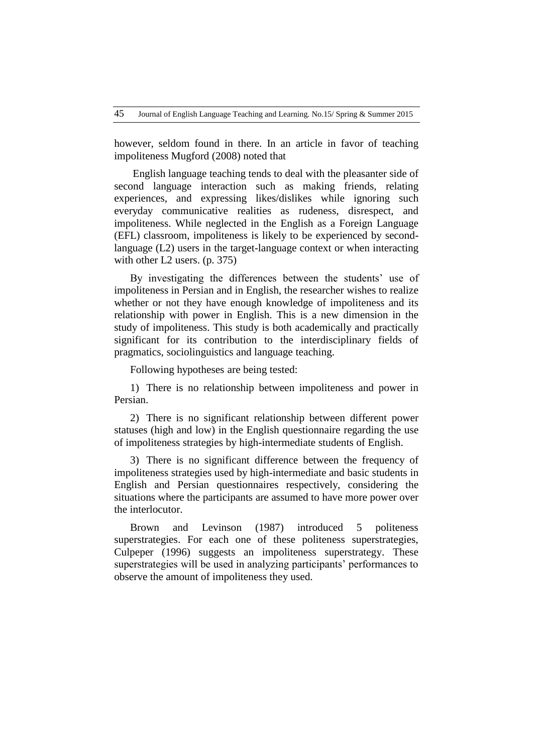however, seldom found in there. In an article in favor of teaching impoliteness Mugford (2008) noted that

English language teaching tends to deal with the pleasanter side of second language interaction such as making friends, relating experiences, and expressing likes/dislikes while ignoring such everyday communicative realities as rudeness, disrespect, and impoliteness. While neglected in the English as a Foreign Language (EFL) classroom, impoliteness is likely to be experienced by secondlanguage (L2) users in the target-language context or when interacting with other L2 users. (p. 375)

By investigating the differences between the students' use of impoliteness in Persian and in English, the researcher wishes to realize whether or not they have enough knowledge of impoliteness and its relationship with power in English. This is a new dimension in the study of impoliteness. This study is both academically and practically significant for its contribution to the interdisciplinary fields of pragmatics, sociolinguistics and language teaching.

Following hypotheses are being tested:

1) There is no relationship between impoliteness and power in Persian.

2) There is no significant relationship between different power statuses (high and low) in the English questionnaire regarding the use of impoliteness strategies by high-intermediate students of English.

3) There is no significant difference between the frequency of impoliteness strategies used by high-intermediate and basic students in English and Persian questionnaires respectively, considering the situations where the participants are assumed to have more power over the interlocutor.

Brown and Levinson (1987) introduced 5 politeness superstrategies. For each one of these politeness superstrategies, Culpeper (1996) suggests an impoliteness superstrategy. These superstrategies will be used in analyzing participants' performances to observe the amount of impoliteness they used.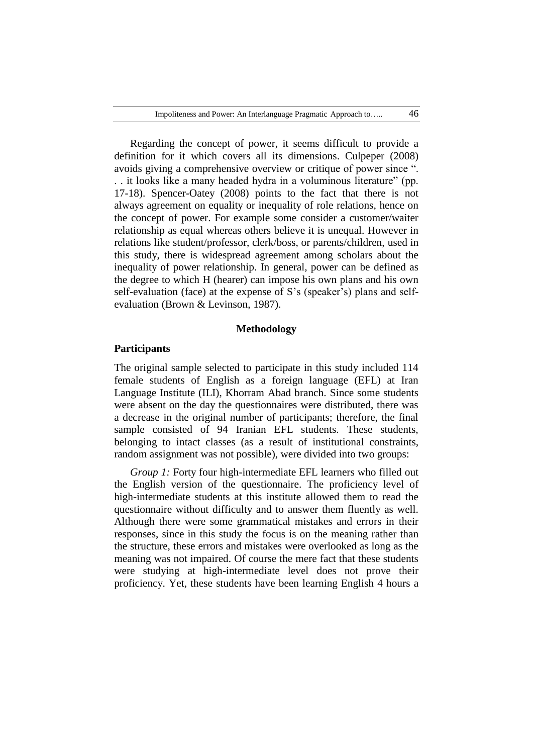Regarding the concept of power, it seems difficult to provide a definition for it which covers all its dimensions. Culpeper (2008) avoids giving a comprehensive overview or critique of power since ". . . it looks like a many headed hydra in a voluminous literature" (pp. 17-18). Spencer-Oatey (2008) points to the fact that there is not always agreement on equality or inequality of role relations, hence on the concept of power. For example some consider a customer/waiter relationship as equal whereas others believe it is unequal. However in relations like student/professor, clerk/boss, or parents/children, used in this study, there is widespread agreement among scholars about the inequality of power relationship. In general, power can be defined as the degree to which H (hearer) can impose his own plans and his own self-evaluation (face) at the expense of S's (speaker's) plans and selfevaluation (Brown & Levinson, 1987).

## **Methodology**

## **Participants**

The original sample selected to participate in this study included 114 female students of English as a foreign language (EFL) at Iran Language Institute (ILI), Khorram Abad branch. Since some students were absent on the day the questionnaires were distributed, there was a decrease in the original number of participants; therefore, the final sample consisted of 94 Iranian EFL students. These students, belonging to intact classes (as a result of institutional constraints, random assignment was not possible), were divided into two groups:

*Group 1:* Forty four high-intermediate EFL learners who filled out the English version of the questionnaire. The proficiency level of high-intermediate students at this institute allowed them to read the questionnaire without difficulty and to answer them fluently as well. Although there were some grammatical mistakes and errors in their responses, since in this study the focus is on the meaning rather than the structure, these errors and mistakes were overlooked as long as the meaning was not impaired. Of course the mere fact that these students were studying at high-intermediate level does not prove their proficiency. Yet, these students have been learning English 4 hours a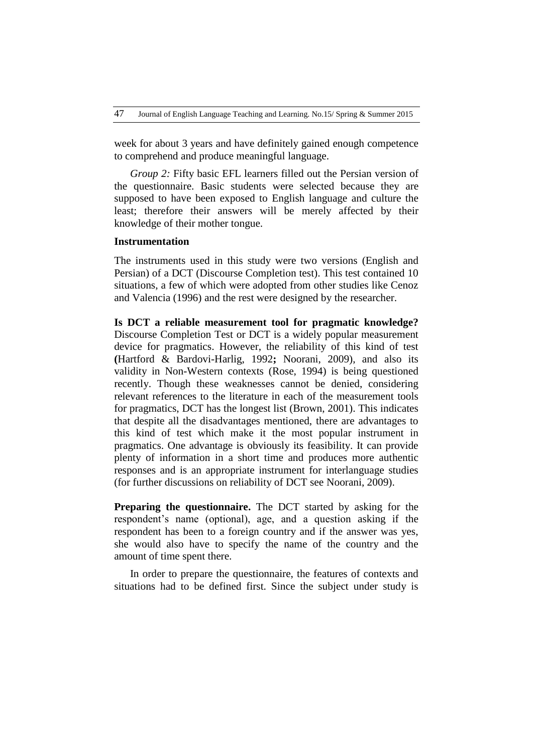week for about 3 years and have definitely gained enough competence to comprehend and produce meaningful language.

*Group 2:* Fifty basic EFL learners filled out the Persian version of the questionnaire. Basic students were selected because they are supposed to have been exposed to English language and culture the least; therefore their answers will be merely affected by their knowledge of their mother tongue.

### **Instrumentation**

The instruments used in this study were two versions (English and Persian) of a DCT (Discourse Completion test). This test contained 10 situations, a few of which were adopted from other studies like Cenoz and Valencia (1996) and the rest were designed by the researcher.

**Is DCT a reliable measurement tool for pragmatic knowledge?** Discourse Completion Test or DCT is a widely popular measurement device for pragmatics. However, the reliability of this kind of test **(**Hartford & Bardovi-Harlig, 1992**;** Noorani, 2009), and also its validity in Non-Western contexts (Rose, 1994) is being questioned recently. Though these weaknesses cannot be denied, considering relevant references to the literature in each of the measurement tools for pragmatics, DCT has the longest list (Brown, 2001). This indicates that despite all the disadvantages mentioned, there are advantages to this kind of test which make it the most popular instrument in pragmatics. One advantage is obviously its feasibility. It can provide plenty of information in a short time and produces more authentic responses and is an appropriate instrument for interlanguage studies (for further discussions on reliability of DCT see Noorani, 2009).

**Preparing the questionnaire.** The DCT started by asking for the respondent's name (optional), age, and a question asking if the respondent has been to a foreign country and if the answer was yes, she would also have to specify the name of the country and the amount of time spent there.

In order to prepare the questionnaire, the features of contexts and situations had to be defined first. Since the subject under study is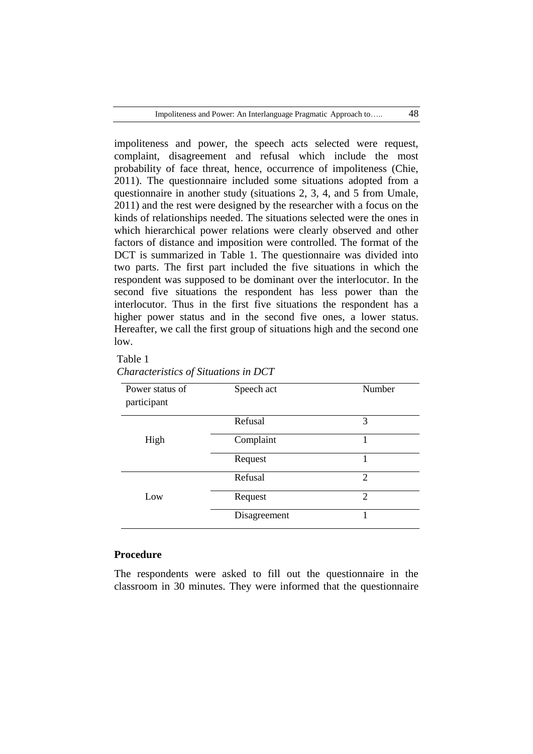impoliteness and power, the speech acts selected were request, complaint, disagreement and refusal which include the most probability of face threat, hence, occurrence of impoliteness (Chie, 2011). The questionnaire included some situations adopted from a questionnaire in another study (situations 2, 3, 4, and 5 from Umale, 2011) and the rest were designed by the researcher with a focus on the kinds of relationships needed. The situations selected were the ones in which hierarchical power relations were clearly observed and other factors of distance and imposition were controlled. The format of the DCT is summarized in Table 1. The questionnaire was divided into two parts. The first part included the five situations in which the respondent was supposed to be dominant over the interlocutor. In the second five situations the respondent has less power than the interlocutor. Thus in the first five situations the respondent has a higher power status and in the second five ones, a lower status. Hereafter, we call the first group of situations high and the second one low.

## Table 1

| Power status of<br>participant | Speech act   | Number         |
|--------------------------------|--------------|----------------|
|                                | Refusal      | 3              |
| High                           | Complaint    |                |
|                                | Request      |                |
|                                | Refusal      | $\overline{c}$ |
| Low                            | Request      | 2              |
|                                | Disagreement |                |

# *Characteristics of Situations in DCT*

## **Procedure**

The respondents were asked to fill out the questionnaire in the classroom in 30 minutes. They were informed that the questionnaire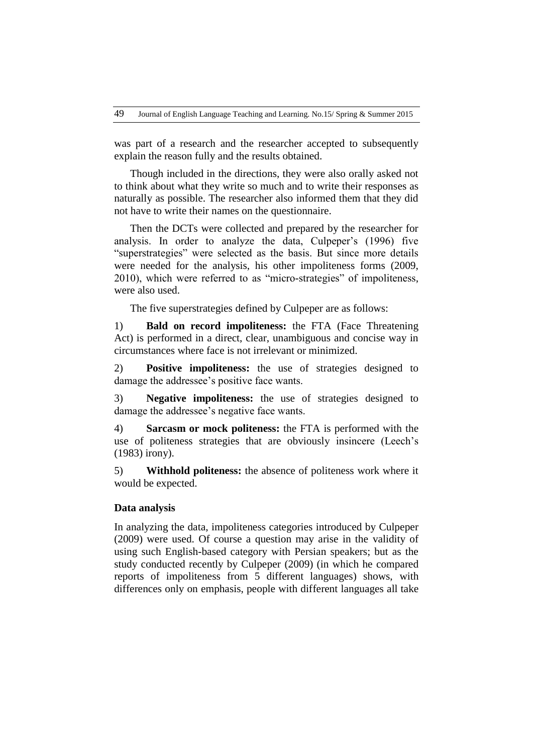was part of a research and the researcher accepted to subsequently explain the reason fully and the results obtained.

Though included in the directions, they were also orally asked not to think about what they write so much and to write their responses as naturally as possible. The researcher also informed them that they did not have to write their names on the questionnaire.

Then the DCTs were collected and prepared by the researcher for analysis. In order to analyze the data, Culpeper's (1996) five "superstrategies" were selected as the basis. But since more details were needed for the analysis, his other impoliteness forms (2009, 2010), which were referred to as "micro-strategies" of impoliteness, were also used.

The five superstrategies defined by Culpeper are as follows:

1) **Bald on record impoliteness:** the FTA (Face Threatening Act) is performed in a direct, clear, unambiguous and concise way in circumstances where face is not irrelevant or minimized.

2) **Positive impoliteness:** the use of strategies designed to damage the addressee's positive face wants.

3) **Negative impoliteness:** the use of strategies designed to damage the addressee's negative face wants.

4) **Sarcasm or mock politeness:** the FTA is performed with the use of politeness strategies that are obviously insincere (Leech's (1983) irony).

5) **Withhold politeness:** the absence of politeness work where it would be expected.

## **Data analysis**

In analyzing the data, impoliteness categories introduced by Culpeper (2009) were used. Of course a question may arise in the validity of using such English-based category with Persian speakers; but as the study conducted recently by Culpeper (2009) (in which he compared reports of impoliteness from 5 different languages) shows, with differences only on emphasis, people with different languages all take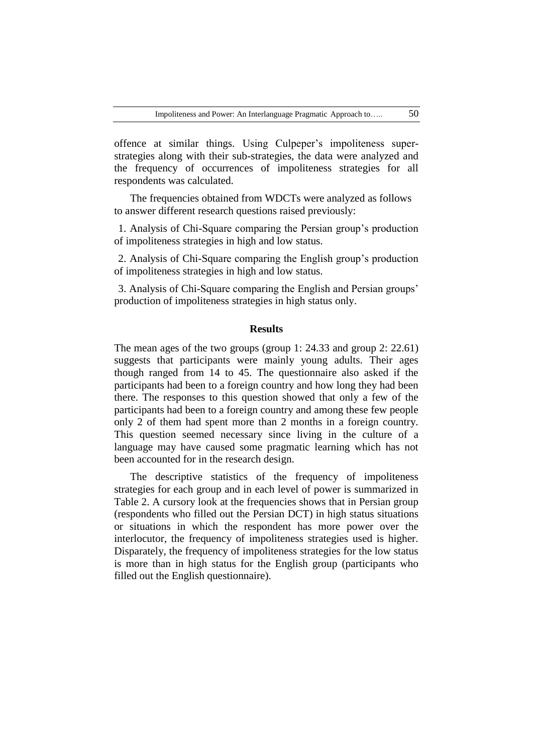offence at similar things. Using Culpeper's impoliteness superstrategies along with their sub-strategies, the data were analyzed and the frequency of occurrences of impoliteness strategies for all respondents was calculated.

The frequencies obtained from WDCTs were analyzed as follows to answer different research questions raised previously:

1. Analysis of Chi-Square comparing the Persian group's production of impoliteness strategies in high and low status.

2. Analysis of Chi-Square comparing the English group's production of impoliteness strategies in high and low status.

3. Analysis of Chi-Square comparing the English and Persian groups' production of impoliteness strategies in high status only.

### **Results**

The mean ages of the two groups (group 1: 24.33 and group 2: 22.61) suggests that participants were mainly young adults. Their ages though ranged from 14 to 45. The questionnaire also asked if the participants had been to a foreign country and how long they had been there. The responses to this question showed that only a few of the participants had been to a foreign country and among these few people only 2 of them had spent more than 2 months in a foreign country. This question seemed necessary since living in the culture of a language may have caused some pragmatic learning which has not been accounted for in the research design.

The descriptive statistics of the frequency of impoliteness strategies for each group and in each level of power is summarized in Table 2. A cursory look at the frequencies shows that in Persian group (respondents who filled out the Persian DCT) in high status situations or situations in which the respondent has more power over the interlocutor, the frequency of impoliteness strategies used is higher. Disparately, the frequency of impoliteness strategies for the low status is more than in high status for the English group (participants who filled out the English questionnaire).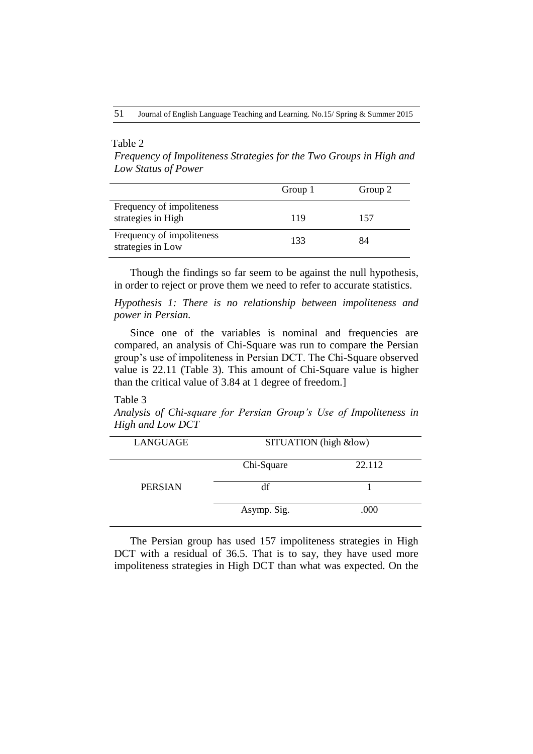## Table 2

*Frequency of Impoliteness Strategies for the Two Groups in High and Low Status of Power*

|                                                 | Group 1 | Group 2 |
|-------------------------------------------------|---------|---------|
| Frequency of impoliteness<br>strategies in High | 119     | 157     |
| Frequency of impoliteness<br>strategies in Low  | 133     | 84      |

Though the findings so far seem to be against the null hypothesis, in order to reject or prove them we need to refer to accurate statistics.

*Hypothesis 1: There is no relationship between impoliteness and power in Persian.*

Since one of the variables is nominal and frequencies are compared, an analysis of Chi-Square was run to compare the Persian group's use of impoliteness in Persian DCT. The Chi-Square observed value is 22.11 (Table 3). This amount of Chi-Square value is higher than the critical value of 3.84 at 1 degree of freedom.]

## Table 3

*Analysis of Chi-square for Persian Group's Use of Impoliteness in High and Low DCT*

| LANGUAGE       | SITUATION (high &low) |        |
|----------------|-----------------------|--------|
|                | Chi-Square            | 22.112 |
| <b>PERSIAN</b> | df                    |        |
|                | Asymp. Sig.           | .000   |

The Persian group has used 157 impoliteness strategies in High DCT with a residual of 36.5. That is to say, they have used more impoliteness strategies in High DCT than what was expected. On the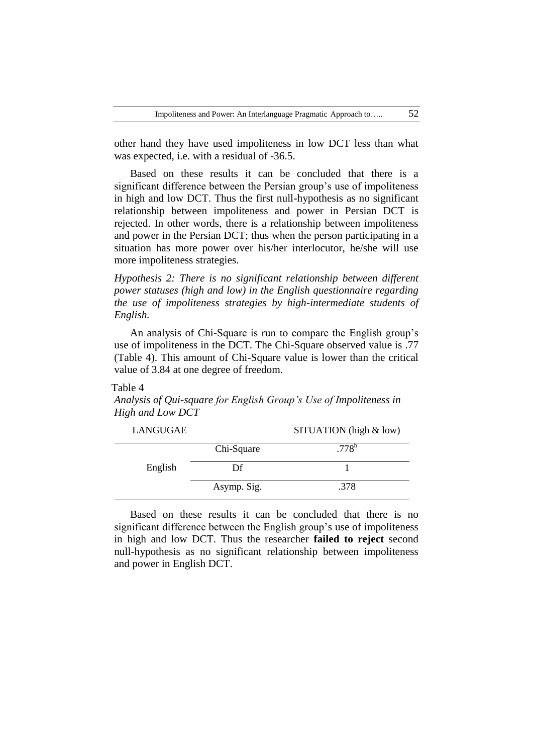other hand they have used impoliteness in low DCT less than what was expected, i.e. with a residual of  $-36.5$ .

Based on these results it can be concluded that there is a significant difference between the Persian group's use of impoliteness in high and low DCT. Thus the first null-hypothesis as no significant relationship between impoliteness and power in Persian DCT is rejected. In other words, there is a relationship between impoliteness and power in the Persian DCT; thus when the person participating in a situation has more power over his/her interlocutor, he/she will use more impoliteness strategies.

*Hypothesis 2: There is no significant relationship between different power statuses (high and low) in the English questionnaire regarding the use of impoliteness strategies by high-intermediate students of English.*

An analysis of Chi-Square is run to compare the English group's use of impoliteness in the DCT. The Chi-Square observed value is .77 (Table 4). This amount of Chi-Square value is lower than the critical value of 3.84 at one degree of freedom.

### Table 4

*Analysis of Qui-square for English Group's Use of Impoliteness in High and Low DCT*

| LANGUGAE |             | SITUATION (high $&$ low) |
|----------|-------------|--------------------------|
|          | Chi-Square  | $.778^b$                 |
| English  | Df          |                          |
|          | Asymp. Sig. | .378                     |

Based on these results it can be concluded that there is no significant difference between the English group's use of impoliteness in high and low DCT. Thus the researcher **failed to reject** second null-hypothesis as no significant relationship between impoliteness and power in English DCT.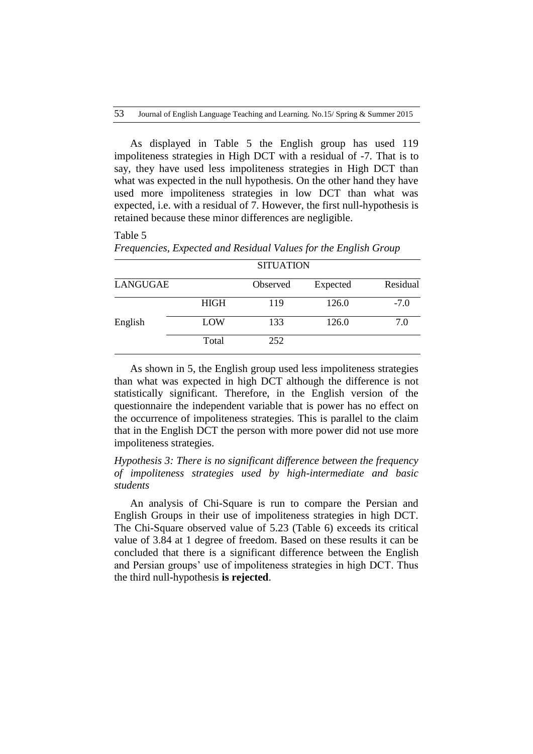As displayed in Table 5 the English group has used 119 impoliteness strategies in High DCT with a residual of -7. That is to say, they have used less impoliteness strategies in High DCT than what was expected in the null hypothesis. On the other hand they have used more impoliteness strategies in low DCT than what was expected, i.e. with a residual of 7. However, the first null-hypothesis is retained because these minor differences are negligible.

### Table 5

|          |             | <b>SITUATION</b> |          |          |
|----------|-------------|------------------|----------|----------|
| LANGUGAE |             | Observed         | Expected | Residual |
|          | <b>HIGH</b> | 119              | 126.0    | $-7.0$   |
| English  | LOW         | 133              | 126.0    | 7.0      |
|          | Total       | 252              |          |          |

As shown in 5, the English group used less impoliteness strategies than what was expected in high DCT although the difference is not statistically significant. Therefore, in the English version of the questionnaire the independent variable that is power has no effect on the occurrence of impoliteness strategies. This is parallel to the claim that in the English DCT the person with more power did not use more impoliteness strategies.

# *Hypothesis 3: There is no significant difference between the frequency of impoliteness strategies used by high-intermediate and basic students*

An analysis of Chi-Square is run to compare the Persian and English Groups in their use of impoliteness strategies in high DCT. The Chi-Square observed value of 5.23 (Table 6) exceeds its critical value of 3.84 at 1 degree of freedom. Based on these results it can be concluded that there is a significant difference between the English and Persian groups' use of impoliteness strategies in high DCT. Thus the third null-hypothesis **is rejected**.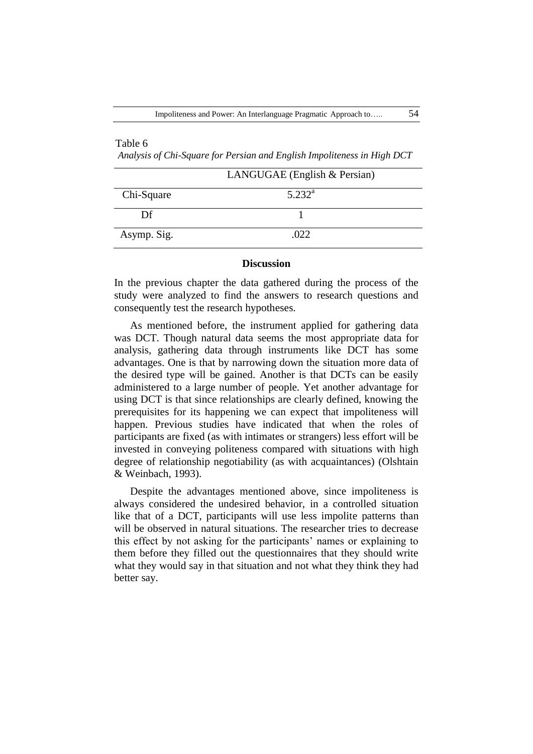## Table 6

 *Analysis of Chi-Square for Persian and English Impoliteness in High DCT*

|             | LANGUGAE (English $&$ Persian) |  |
|-------------|--------------------------------|--|
| Chi-Square  | $5.232^{\rm a}$                |  |
| Df          |                                |  |
| Asymp. Sig. | .022                           |  |

#### **Discussion**

In the previous chapter the data gathered during the process of the study were analyzed to find the answers to research questions and consequently test the research hypotheses.

As mentioned before, the instrument applied for gathering data was DCT. Though natural data seems the most appropriate data for analysis, gathering data through instruments like DCT has some advantages. One is that by narrowing down the situation more data of the desired type will be gained. Another is that DCTs can be easily administered to a large number of people. Yet another advantage for using DCT is that since relationships are clearly defined, knowing the prerequisites for its happening we can expect that impoliteness will happen. Previous studies have indicated that when the roles of participants are fixed (as with intimates or strangers) less effort will be invested in conveying politeness compared with situations with high degree of relationship negotiability (as with acquaintances) (Olshtain & Weinbach, 1993).

Despite the advantages mentioned above, since impoliteness is always considered the undesired behavior, in a controlled situation like that of a DCT, participants will use less impolite patterns than will be observed in natural situations. The researcher tries to decrease this effect by not asking for the participants' names or explaining to them before they filled out the questionnaires that they should write what they would say in that situation and not what they think they had better say.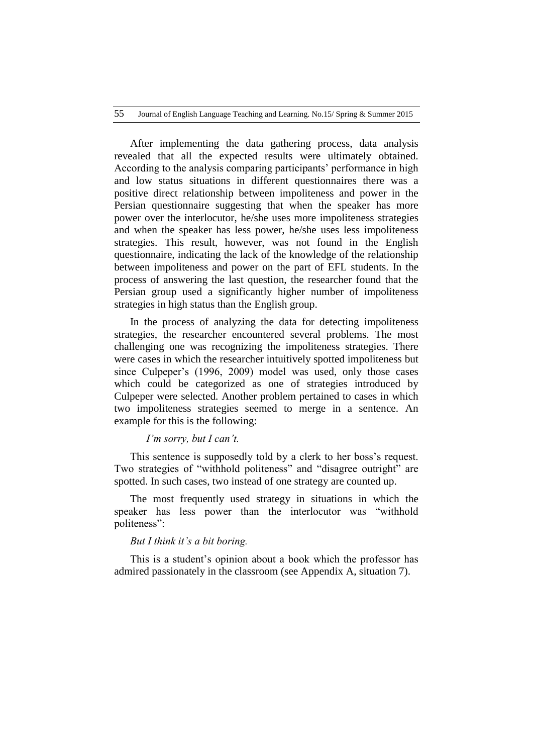After implementing the data gathering process, data analysis revealed that all the expected results were ultimately obtained. According to the analysis comparing participants' performance in high and low status situations in different questionnaires there was a positive direct relationship between impoliteness and power in the Persian questionnaire suggesting that when the speaker has more power over the interlocutor, he/she uses more impoliteness strategies and when the speaker has less power, he/she uses less impoliteness strategies. This result, however, was not found in the English questionnaire, indicating the lack of the knowledge of the relationship between impoliteness and power on the part of EFL students. In the process of answering the last question, the researcher found that the Persian group used a significantly higher number of impoliteness strategies in high status than the English group.

In the process of analyzing the data for detecting impoliteness strategies, the researcher encountered several problems. The most challenging one was recognizing the impoliteness strategies. There were cases in which the researcher intuitively spotted impoliteness but since Culpeper's (1996, 2009) model was used, only those cases which could be categorized as one of strategies introduced by Culpeper were selected. Another problem pertained to cases in which two impoliteness strategies seemed to merge in a sentence. An example for this is the following:

## *I'm sorry, but I can't.*

This sentence is supposedly told by a clerk to her boss's request. Two strategies of "withhold politeness" and "disagree outright" are spotted. In such cases, two instead of one strategy are counted up.

The most frequently used strategy in situations in which the speaker has less power than the interlocutor was "withhold politeness":

### *But I think it's a bit boring.*

This is a student's opinion about a book which the professor has admired passionately in the classroom (see Appendix A, situation 7).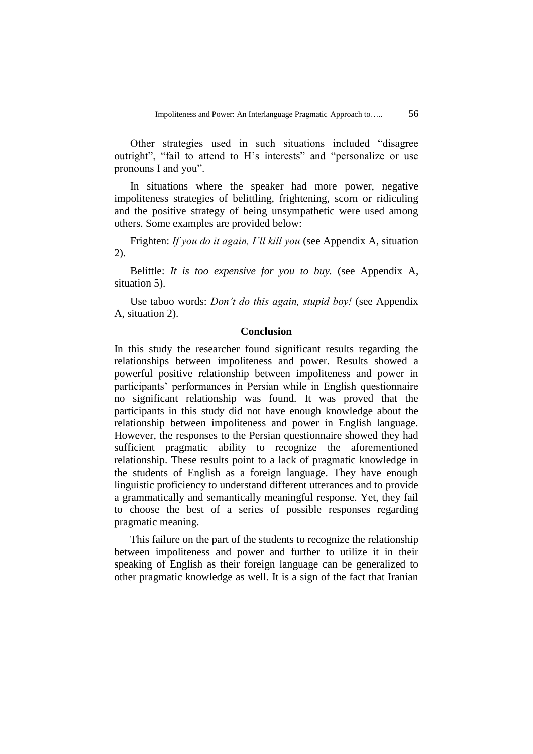Other strategies used in such situations included "disagree outright", "fail to attend to H's interests" and "personalize or use pronouns I and you".

In situations where the speaker had more power, negative impoliteness strategies of belittling, frightening, scorn or ridiculing and the positive strategy of being unsympathetic were used among others. Some examples are provided below:

Frighten: *If you do it again, I'll kill you* (see Appendix A, situation 2).

Belittle: *It is too expensive for you to buy.* (see Appendix A, situation 5).

Use taboo words: *Don't do this again, stupid boy!* (see Appendix A, situation 2).

## **Conclusion**

In this study the researcher found significant results regarding the relationships between impoliteness and power. Results showed a powerful positive relationship between impoliteness and power in participants' performances in Persian while in English questionnaire no significant relationship was found. It was proved that the participants in this study did not have enough knowledge about the relationship between impoliteness and power in English language. However, the responses to the Persian questionnaire showed they had sufficient pragmatic ability to recognize the aforementioned relationship. These results point to a lack of pragmatic knowledge in the students of English as a foreign language. They have enough linguistic proficiency to understand different utterances and to provide a grammatically and semantically meaningful response. Yet, they fail to choose the best of a series of possible responses regarding pragmatic meaning.

This failure on the part of the students to recognize the relationship between impoliteness and power and further to utilize it in their speaking of English as their foreign language can be generalized to other pragmatic knowledge as well. It is a sign of the fact that Iranian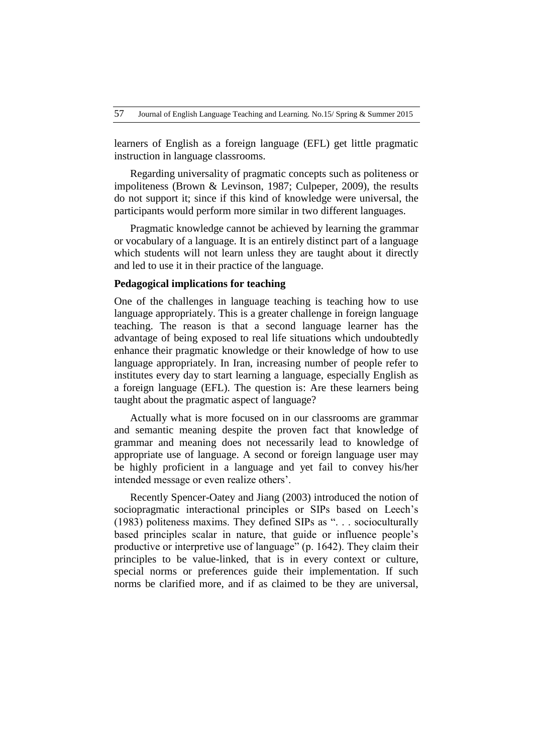learners of English as a foreign language (EFL) get little pragmatic instruction in language classrooms.

Regarding universality of pragmatic concepts such as politeness or impoliteness (Brown & Levinson, 1987; Culpeper, 2009), the results do not support it; since if this kind of knowledge were universal, the participants would perform more similar in two different languages.

Pragmatic knowledge cannot be achieved by learning the grammar or vocabulary of a language. It is an entirely distinct part of a language which students will not learn unless they are taught about it directly and led to use it in their practice of the language.

## **Pedagogical implications for teaching**

One of the challenges in language teaching is teaching how to use language appropriately. This is a greater challenge in foreign language teaching. The reason is that a second language learner has the advantage of being exposed to real life situations which undoubtedly enhance their pragmatic knowledge or their knowledge of how to use language appropriately. In Iran, increasing number of people refer to institutes every day to start learning a language, especially English as a foreign language (EFL). The question is: Are these learners being taught about the pragmatic aspect of language?

Actually what is more focused on in our classrooms are grammar and semantic meaning despite the proven fact that knowledge of grammar and meaning does not necessarily lead to knowledge of appropriate use of language. A second or foreign language user may be highly proficient in a language and yet fail to convey his/her intended message or even realize others'.

Recently Spencer-Oatey and Jiang (2003) introduced the notion of sociopragmatic interactional principles or SIPs based on Leech's (1983) politeness maxims. They defined SIPs as ". . . socioculturally based principles scalar in nature, that guide or influence people's productive or interpretive use of language" (p. 1642). They claim their principles to be value-linked, that is in every context or culture, special norms or preferences guide their implementation. If such norms be clarified more, and if as claimed to be they are universal,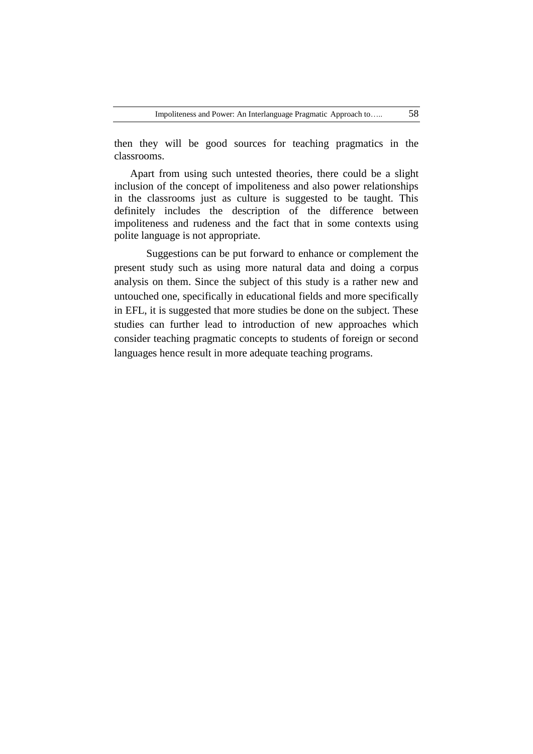then they will be good sources for teaching pragmatics in the classrooms.

Apart from using such untested theories, there could be a slight inclusion of the concept of impoliteness and also power relationships in the classrooms just as culture is suggested to be taught. This definitely includes the description of the difference between impoliteness and rudeness and the fact that in some contexts using polite language is not appropriate.

Suggestions can be put forward to enhance or complement the present study such as using more natural data and doing a corpus analysis on them. Since the subject of this study is a rather new and untouched one, specifically in educational fields and more specifically in EFL, it is suggested that more studies be done on the subject. These studies can further lead to introduction of new approaches which consider teaching pragmatic concepts to students of foreign or second languages hence result in more adequate teaching programs.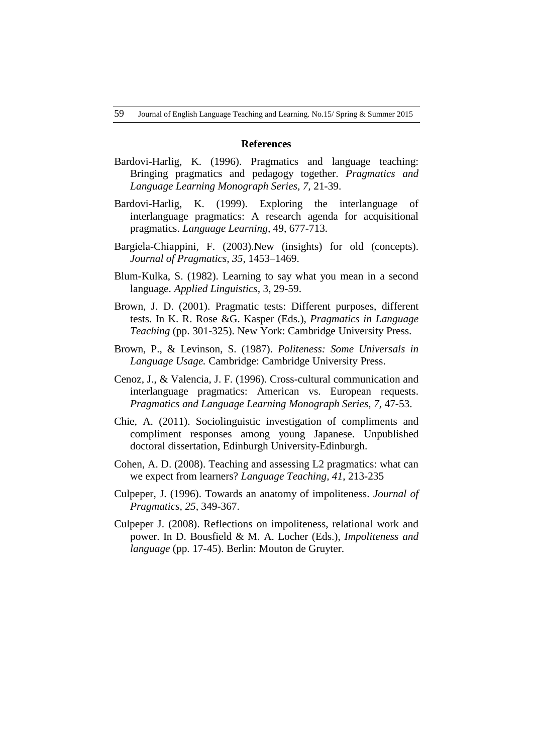### **References**

- Bardovi-Harlig, K. (1996). Pragmatics and language teaching: Bringing pragmatics and pedagogy together. *Pragmatics and Language Learning Monograph Series, 7,* 21-39.
- Bardovi-Harlig, K. (1999). Exploring the interlanguage of interlanguage pragmatics: A research agenda for acquisitional pragmatics. *Language Learning,* 49, 677-713.
- Bargiela-Chiappini, F. (2003).New (insights) for old (concepts). *Journal of Pragmatics, 35,* 1453–1469.
- Blum-Kulka, S. (1982). Learning to say what you mean in a second language. *Applied Linguistics,* 3, 29-59.
- Brown, J. D. (2001). Pragmatic tests: Different purposes, different tests. In K. R. Rose &G. Kasper (Eds.), *Pragmatics in Language Teaching* (pp. 301-325). New York: Cambridge University Press.
- Brown, P., & Levinson, S. (1987). *Politeness: Some Universals in Language Usage.* Cambridge: Cambridge University Press.
- Cenoz, J., & Valencia, J. F. (1996). Cross-cultural communication and interlanguage pragmatics: American vs. European requests. *Pragmatics and Language Learning Monograph Series, 7,* 47-53.
- Chie, A. (2011). Sociolinguistic investigation of compliments and compliment responses among young Japanese. Unpublished doctoral dissertation, Edinburgh University-Edinburgh.
- Cohen, A. D. (2008). Teaching and assessing L2 pragmatics: what can we expect from learners? *Language Teaching, 41*, 213-235
- Culpeper, J. (1996). Towards an anatomy of impoliteness. *Journal of Pragmatics, 25,* 349-367.
- Culpeper J. (2008). Reflections on impoliteness, relational work and power. In D. Bousfield & M. A. Locher (Eds.), *Impoliteness and language* (pp. 17-45). Berlin: Mouton de Gruyter.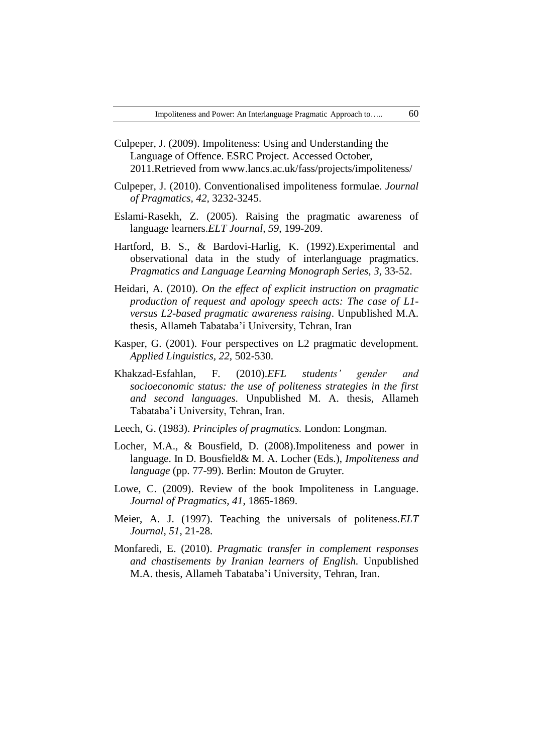- Culpeper, J. (2009). Impoliteness: Using and Understanding the Language of Offence. ESRC Project. Accessed October, 2011.Retrieved from [www.lancs.ac.uk/fass/projects/impoliteness/](http://www.lancs.ac.uk/fass/projects/impoliteness/)
- Culpeper, J. (2010). Conventionalised impoliteness formulae. *Journal of Pragmatics, 42,* 3232-3245.
- Eslami-Rasekh, Z. (2005). Raising the pragmatic awareness of language learners.*ELT Journal, 59*, 199-209.
- Hartford, B. S., & Bardovi-Harlig, K. (1992).Experimental and observational data in the study of interlanguage pragmatics. *Pragmatics and Language Learning Monograph Series, 3,* 33-52.
- Heidari, A. (2010). *On the effect of explicit instruction on pragmatic production of request and apology speech acts: The case of L1 versus L2-based pragmatic awareness raising*. Unpublished M.A. thesis, Allameh Tabataba'i University, Tehran, Iran
- Kasper, G. (2001). Four perspectives on L2 pragmatic development. *Applied Linguistics, 22,* 502-530.
- Khakzad-Esfahlan, F. (2010).*EFL students' gender and socioeconomic status: the use of politeness strategies in the first and second languages.* Unpublished M. A. thesis, Allameh Tabataba'i University, Tehran, Iran.
- Leech, G. (1983). *Principles of pragmatics.* London: Longman.
- Locher, M.A., & Bousfield, D. (2008).Impoliteness and power in language. In D. Bousfield& M. A. Locher (Eds.), *Impoliteness and language* (pp. 77-99). Berlin: Mouton de Gruyter.
- Lowe, C. (2009). Review of the book Impoliteness in Language. *Journal of Pragmatics, 41*, 1865-1869.
- Meier, A. J. (1997). Teaching the universals of politeness.*ELT Journal, 51*, 21-28.
- Monfaredi, E. (2010). *Pragmatic transfer in complement responses and chastisements by Iranian learners of English.* Unpublished M.A. thesis, Allameh Tabataba'i University, Tehran, Iran.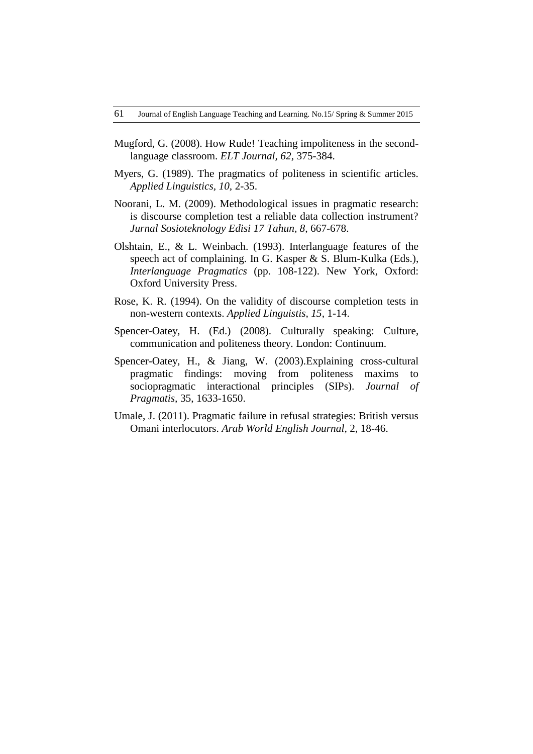- Mugford, G. (2008). How Rude! Teaching impoliteness in the secondlanguage classroom. *ELT Journal, 62*, 375-384.
- Myers, G. (1989). The pragmatics of politeness in scientific articles. *Applied Linguistics, 10,* 2-35.
- Noorani, L. M. (2009). Methodological issues in pragmatic research: is discourse completion test a reliable data collection instrument? *Jurnal Sosioteknology Edisi 17 Tahun, 8,* 667-678.
- Olshtain, E., & L. Weinbach. (1993). Interlanguage features of the speech act of complaining. In G. Kasper & S. Blum-Kulka (Eds.), *Interlanguage Pragmatics* (pp. 108-122). New York, Oxford: Oxford University Press.
- Rose, K. R. (1994). On the validity of discourse completion tests in non-western contexts. *Applied Linguistis, 15*, 1-14.
- Spencer-Oatey, H. (Ed.) (2008). Culturally speaking: Culture, communication and politeness theory. London: Continuum.
- Spencer-Oatey, H., & Jiang, W. (2003).Explaining cross-cultural pragmatic findings: moving from politeness maxims to sociopragmatic interactional principles (SIPs). *Journal of Pragmatis,* 35, 1633-1650.
- Umale, J. (2011). Pragmatic failure in refusal strategies: British versus Omani interlocutors. *Arab World English Journal,* 2, 18-46.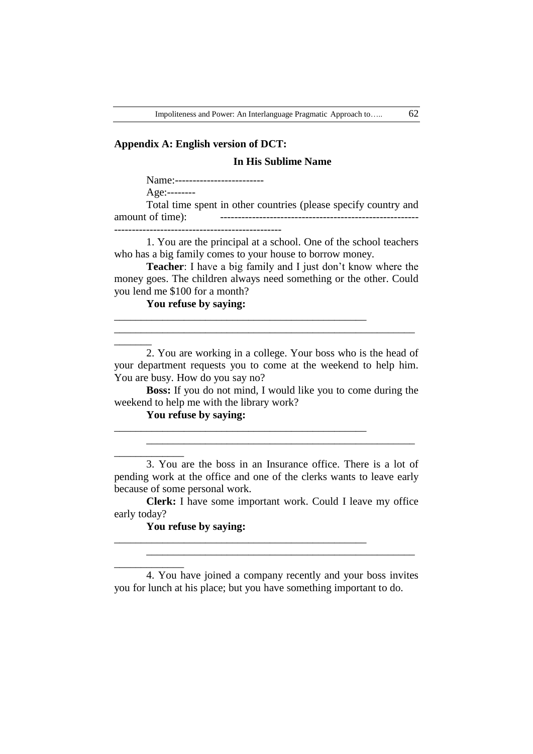### **Appendix A: English version of DCT:**

### **In His Sublime Name**

Name:--------------------------

Age:--------

 $\overline{\phantom{a}}$ 

\_\_\_\_\_\_\_\_\_\_\_\_\_

\_\_\_\_\_\_\_\_\_\_\_\_\_

Total time spent in other countries (please specify country and amount of time): -------------------------------------------------------- -----------------------------------------------

1. You are the principal at a school. One of the school teachers who has a big family comes to your house to borrow money.

**Teacher**: I have a big family and I just don't know where the money goes. The children always need something or the other. Could you lend me \$100 for a month?

\_\_\_\_\_\_\_\_\_\_\_\_\_\_\_\_\_\_\_\_\_\_\_\_\_\_\_\_\_\_\_\_\_\_\_\_\_\_\_\_\_\_\_\_\_\_\_

\_\_\_\_\_\_\_\_\_\_\_\_\_\_\_\_\_\_\_\_\_\_\_\_\_\_\_\_\_\_\_\_\_\_\_\_\_\_\_\_\_\_\_\_\_\_\_

\_\_\_\_\_\_\_\_\_\_\_\_\_\_\_\_\_\_\_\_\_\_\_\_\_\_\_\_\_\_\_\_\_\_\_\_\_\_\_\_\_\_\_\_\_\_\_

**You refuse by saying:** 

2. You are working in a college. Your boss who is the head of your department requests you to come at the weekend to help him. You are busy. How do you say no?

\_\_\_\_\_\_\_\_\_\_\_\_\_\_\_\_\_\_\_\_\_\_\_\_\_\_\_\_\_\_\_\_\_\_\_\_\_\_\_\_\_\_\_\_\_\_\_\_\_\_\_\_\_\_\_\_

**Boss:** If you do not mind, I would like you to come during the weekend to help me with the library work?

### **You refuse by saying:**

3. You are the boss in an Insurance office. There is a lot of pending work at the office and one of the clerks wants to leave early because of some personal work.

\_\_\_\_\_\_\_\_\_\_\_\_\_\_\_\_\_\_\_\_\_\_\_\_\_\_\_\_\_\_\_\_\_\_\_\_\_\_\_\_\_\_\_\_\_\_\_\_\_\_

**Clerk:** I have some important work. Could I leave my office early today?

## **You refuse by saying:**

4. You have joined a company recently and your boss invites you for lunch at his place; but you have something important to do.

\_\_\_\_\_\_\_\_\_\_\_\_\_\_\_\_\_\_\_\_\_\_\_\_\_\_\_\_\_\_\_\_\_\_\_\_\_\_\_\_\_\_\_\_\_\_\_\_\_\_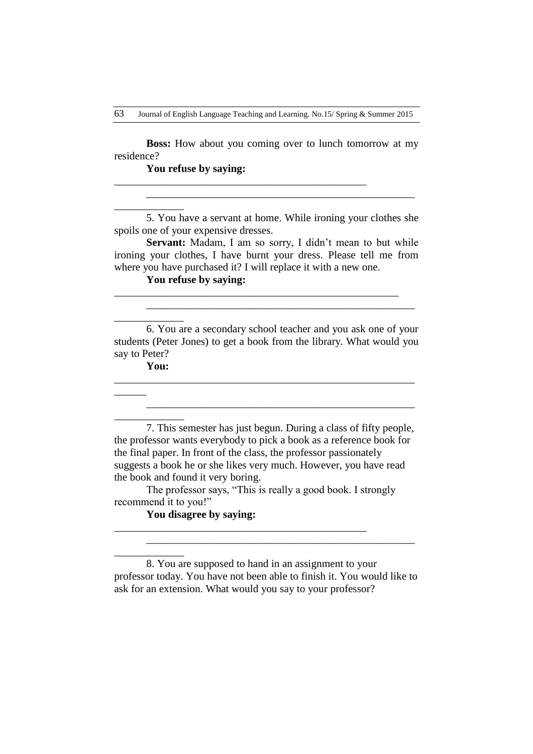**Boss:** How about you coming over to lunch tomorrow at my residence?

\_\_\_\_\_\_\_\_\_\_\_\_\_\_\_\_\_\_\_\_\_\_\_\_\_\_\_\_\_\_\_\_\_\_\_\_\_\_\_\_\_\_\_\_\_\_\_

**You refuse by saying:** 

5. You have a servant at home. While ironing your clothes she spoils one of your expensive dresses.

\_\_\_\_\_\_\_\_\_\_\_\_\_\_\_\_\_\_\_\_\_\_\_\_\_\_\_\_\_\_\_\_\_\_\_\_\_\_\_\_\_\_\_\_\_\_\_\_\_\_

Servant: Madam, I am so sorry, I didn't mean to but while ironing your clothes, I have burnt your dress. Please tell me from where you have purchased it? I will replace it with a new one.

\_\_\_\_\_\_\_\_\_\_\_\_\_\_\_\_\_\_\_\_\_\_\_\_\_\_\_\_\_\_\_\_\_\_\_\_\_\_\_\_\_\_\_\_\_\_\_\_\_\_\_\_\_

# **You refuse by saying:**

6. You are a secondary school teacher and you ask one of your students (Peter Jones) to get a book from the library. What would you say to Peter?

\_\_\_\_\_\_\_\_\_\_\_\_\_\_\_\_\_\_\_\_\_\_\_\_\_\_\_\_\_\_\_\_\_\_\_\_\_\_\_\_\_\_\_\_\_\_\_\_\_\_\_\_\_\_\_\_

\_\_\_\_\_\_\_\_\_\_\_\_\_\_\_\_\_\_\_\_\_\_\_\_\_\_\_\_\_\_\_\_\_\_\_\_\_\_\_\_\_\_\_\_\_\_\_\_\_\_

\_\_\_\_\_\_\_\_\_\_\_\_\_\_\_\_\_\_\_\_\_\_\_\_\_\_\_\_\_\_\_\_\_\_\_\_\_\_\_\_\_\_\_\_\_\_\_\_\_\_

# **You:**

\_\_\_\_\_\_\_\_\_\_\_\_\_

\_\_\_\_\_\_\_\_\_\_\_\_\_

 $\overline{\phantom{a}}$ 

\_\_\_\_\_\_\_\_\_\_\_\_\_

\_\_\_\_\_\_\_\_\_\_\_\_\_

7. This semester has just begun. During a class of fifty people, the professor wants everybody to pick a book as a reference book for the final paper. In front of the class, the professor passionately suggests a book he or she likes very much. However, you have read the book and found it very boring.

The professor says, "This is really a good book. I strongly recommend it to you!"

\_\_\_\_\_\_\_\_\_\_\_\_\_\_\_\_\_\_\_\_\_\_\_\_\_\_\_\_\_\_\_\_\_\_\_\_\_\_\_\_\_\_\_\_\_\_\_

**You disagree by saying:** 

8. You are supposed to hand in an assignment to your professor today. You have not been able to finish it. You would like to ask for an extension. What would you say to your professor?

\_\_\_\_\_\_\_\_\_\_\_\_\_\_\_\_\_\_\_\_\_\_\_\_\_\_\_\_\_\_\_\_\_\_\_\_\_\_\_\_\_\_\_\_\_\_\_\_\_\_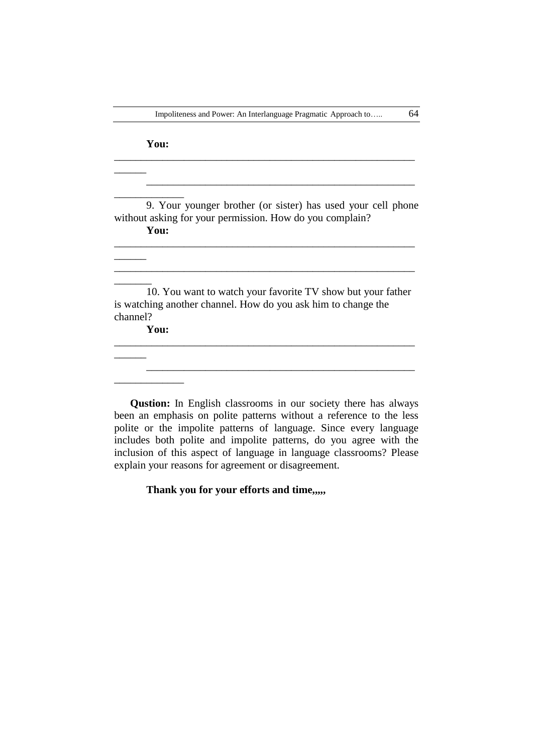\_\_\_\_\_\_\_\_\_\_\_\_\_\_\_\_\_\_\_\_\_\_\_\_\_\_\_\_\_\_\_\_\_\_\_\_\_\_\_\_\_\_\_\_\_\_\_\_\_\_\_\_\_\_\_\_

# **You:**

 $\overline{\phantom{a}}$ 

 $\overline{\phantom{a}}$ 

 $\overline{\phantom{a}}$ 

 $\overline{\phantom{a}}$ 

\_\_\_\_\_\_\_\_\_\_\_\_\_ 9. Your younger brother (or sister) has used your cell phone without asking for your permission. How do you complain? **You:** 

\_\_\_\_\_\_\_\_\_\_\_\_\_\_\_\_\_\_\_\_\_\_\_\_\_\_\_\_\_\_\_\_\_\_\_\_\_\_\_\_\_\_\_\_\_\_\_\_\_\_\_\_\_\_\_\_

 $\frac{1}{2}$  ,  $\frac{1}{2}$  ,  $\frac{1}{2}$  ,  $\frac{1}{2}$  ,  $\frac{1}{2}$  ,  $\frac{1}{2}$  ,  $\frac{1}{2}$  ,  $\frac{1}{2}$  ,  $\frac{1}{2}$  ,  $\frac{1}{2}$  ,  $\frac{1}{2}$  ,  $\frac{1}{2}$  ,  $\frac{1}{2}$  ,  $\frac{1}{2}$  ,  $\frac{1}{2}$  ,  $\frac{1}{2}$  ,  $\frac{1}{2}$  ,  $\frac{1}{2}$  ,  $\frac{1$ 

\_\_\_\_\_\_\_\_\_\_\_\_\_\_\_\_\_\_\_\_\_\_\_\_\_\_\_\_\_\_\_\_\_\_\_\_\_\_\_\_\_\_\_\_\_\_\_\_\_\_

10. You want to watch your favorite TV show but your father is watching another channel. How do you ask him to change the channel?

\_\_\_\_\_\_\_\_\_\_\_\_\_\_\_\_\_\_\_\_\_\_\_\_\_\_\_\_\_\_\_\_\_\_\_\_\_\_\_\_\_\_\_\_\_\_\_\_\_\_\_\_\_\_\_\_

**You:** 

\_\_\_\_\_\_\_\_\_\_\_\_\_

**Qustion:** In English classrooms in our society there has always been an emphasis on polite patterns without a reference to the less polite or the impolite patterns of language. Since every language includes both polite and impolite patterns, do you agree with the inclusion of this aspect of language in language classrooms? Please explain your reasons for agreement or disagreement.

# **Thank you for your efforts and time,,,,,**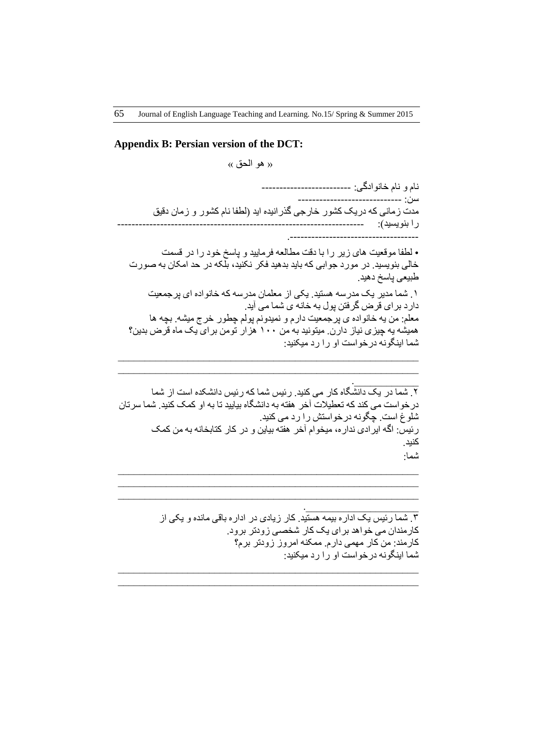### **Appendix B: Persian version of the DCT:**

 $\langle \langle \rangle$  هو الحق »

نام و نام خانوادگی: ---------------------------طي: ----------------------------- مدت زمانی که دریک کشور خارجی گذرانیده اید (لطفا نام کشور و زمان دقیق را بٌْیظیذ(: --------------------------------------------------------------------- .------------------------------------

• لطفا موقعیت های زیر را با دقت مطالعه فرمایید و پاسخ خود را در قسمت خالی بنویسید. در مورد جوابی که باید بدهید فکر نکنید، بلکه در حد امکان به صورت طبیعی پاسخ دهید. 1. شَما مدیر یک مدرسه هستید. یکی از معلمان مدرسه که خانواده ای پزجمعیت دارد برای قرض گرفتن پول به خانه ی شما می آید. معلم: من یه خانواده ی پرجمعیت دارم و نمیدونم پولم چطور خرج میشه. بچه ها همیشه یه چیزی نیاز دارن. میتونید به من ۱۰۰ هزار تومن برای یک ماه قرض بدین؟ شما اینگونه در خواست او را ر د میکنید:

```
.____________
        ۲. شما در یک دانشگاه کار می کنید. رئیس شما که رئیس دانشکده است از شما
در خو است می کند که تعطیلات آخر ِ هفته به دانشگاه بیایید تا به او کمک کنید. شما سرتان
                                      شلُّوغٌ است. چگونه درخواستش را رد می کنید.
        رئیس: اگه ایرادی نداره، میخوام آخر هفته بیاین و در کار کتابخانه به من کمک
                                                                             کنید.
                                                                             شما:
```
\_\_\_\_\_\_\_\_\_\_\_\_\_\_\_\_\_\_\_\_\_\_\_\_\_\_\_\_\_\_\_\_\_\_\_\_\_\_\_\_\_\_\_\_\_\_\_\_\_\_\_\_\_\_\_\_  $\mathcal{L}_\text{max}$  , and the contribution of the contribution of the contribution of the contribution of the contribution of the contribution of the contribution of the contribution of the contribution of the contribution of t  $\mathcal{L}_\text{max}$  , and the contribution of the contribution of the contribution of the contribution of the contribution of the contribution of the contribution of the contribution of the contribution of the contribution of t

\_\_\_\_\_\_\_\_\_\_\_\_\_\_\_\_\_\_\_\_\_\_\_\_\_\_\_\_\_\_\_\_\_\_\_\_\_\_\_\_\_\_\_\_\_\_\_\_\_\_\_\_\_\_\_\_ \_\_\_\_\_\_\_\_\_\_\_\_\_\_\_\_\_\_\_\_\_\_\_\_\_\_\_\_\_\_\_\_\_\_\_\_\_\_\_\_\_\_\_\_\_\_\_\_\_\_\_\_\_\_\_\_

\_\_\_\_\_\_\_\_\_\_\_\_\_\_\_\_\_\_\_\_\_\_\_\_\_\_\_\_\_\_\_\_\_\_\_\_\_\_\_\_\_\_\_\_\_\_\_\_\_\_\_\_\_\_\_\_ \_\_\_\_\_\_\_\_\_\_\_\_\_\_\_\_\_\_\_\_\_\_\_\_\_\_\_\_\_\_\_\_\_\_\_\_\_\_\_\_\_\_\_\_\_\_\_\_\_\_\_\_\_\_\_\_

> ۳. شما رئیس یک ادارِ ه بیمه هستید. کار زیادی در ادارِ ه باقی مانده و یکی از کارمندان می خواهد برای یک کار شخصی زودتر برود. کارمند: من کار مهمی دارم. ممکنه امروز زودتر برم؟ شما اینگونه در خواست او را رد میکنید:

.\_\_\_\_\_\_\_\_\_\_\_\_\_\_\_\_\_\_\_\_\_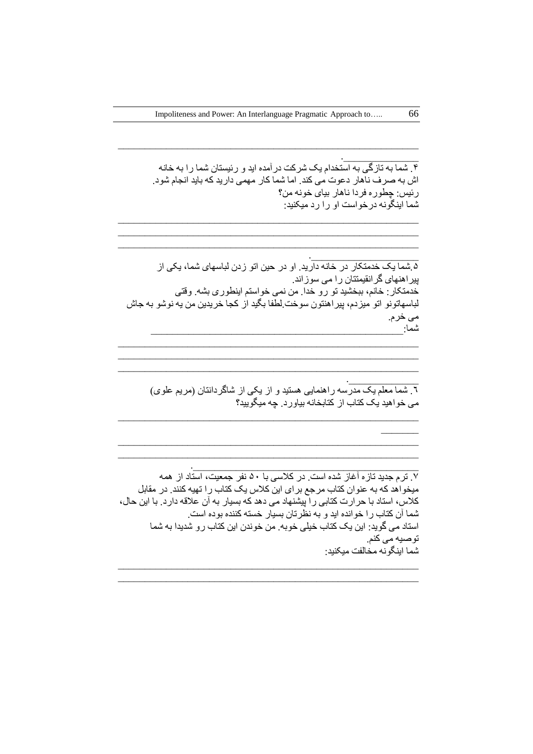\_\_\_\_\_\_\_\_\_\_\_\_\_\_\_\_\_\_\_\_\_\_\_\_\_\_\_\_\_\_\_\_\_\_\_\_\_\_\_\_\_\_\_\_\_\_\_\_\_\_\_\_\_\_\_\_

\_\_\_\_\_\_\_\_\_\_\_\_\_\_\_\_\_\_\_\_\_\_\_\_\_\_\_\_\_\_\_\_\_\_\_\_\_\_\_\_\_\_\_\_\_\_\_\_\_\_\_\_\_\_\_\_ \_\_\_\_\_\_\_\_\_\_\_\_\_\_\_\_\_\_\_\_\_\_\_\_\_\_\_\_\_\_\_\_\_\_\_\_\_\_\_\_\_\_\_\_\_\_\_\_\_\_\_\_\_\_\_\_ \_\_\_\_\_\_\_\_\_\_\_\_\_\_\_\_\_\_\_\_\_\_\_\_\_\_\_\_\_\_\_\_\_\_\_\_\_\_\_\_\_\_\_\_\_\_\_\_\_\_\_\_\_\_\_\_

.\_\_\_\_\_\_\_\_\_\_\_\_\_\_ ۴. شَما به تازگی به استخدام یک شرکت درآمده اید و رئیستان شما را به خانه اش به صرف ناهار دعوت می کند. اما شما کار مهمی دارید که باید انجام شود. ر ئيس: چطور ه فر دا ناهار بيای خونه من؟ شما اینگونه درخواست او را رد میکنید:

.\_\_\_\_\_\_\_\_\_\_\_\_\_\_\_\_\_\_\_\_ ۵ شما یک خدمتکار در خانه دارید. او در حین اتو زدن لباسهای شما، یکی از پیراهنهای گرانقیمتتان را می سوزاند. خدمتکار : خانم، ببخشید تو رو خدا. من نمی خواستم اینطوری بشه. وقتی لباسهاتونو اتو میزدم، پیراهنتون سوخت لطفا بگید از کجا خریدین من یه نوشو به جاش هی خزم. ػوا:\_\_\_\_\_\_\_\_\_\_\_\_\_\_\_\_\_\_\_\_\_\_\_\_\_\_\_\_\_\_\_\_\_\_\_\_\_\_\_\_\_\_\_\_\_\_\_

\_\_\_\_\_\_\_\_\_\_\_\_\_\_\_\_\_\_\_\_\_\_\_\_\_\_\_\_\_\_\_\_\_\_\_\_\_\_\_\_\_\_\_\_\_\_\_\_\_\_\_\_\_\_\_\_ \_\_\_\_\_\_\_\_\_\_\_\_\_\_\_\_\_\_\_\_\_\_\_\_\_\_\_\_\_\_\_\_\_\_\_\_\_\_\_\_\_\_\_\_\_\_\_\_\_\_\_\_\_\_\_\_ \_\_\_\_\_\_\_\_\_\_\_\_\_\_\_\_\_\_\_\_\_\_\_\_\_\_\_\_\_\_\_\_\_\_\_\_\_\_\_\_\_\_\_\_\_\_\_\_\_\_\_\_\_\_\_\_

\_\_\_\_\_\_\_\_\_\_\_\_\_\_\_\_\_\_\_\_\_\_\_\_\_\_\_\_\_\_\_\_\_\_\_\_\_\_\_\_\_\_\_\_\_\_\_\_\_\_\_\_\_\_\_\_

\_\_\_\_\_\_\_\_\_\_\_\_\_\_\_\_\_\_\_\_\_\_\_\_\_\_\_\_\_\_\_\_\_\_\_\_\_\_\_\_\_\_\_\_\_\_\_\_\_\_\_\_\_\_\_\_ \_\_\_\_\_\_\_\_\_\_\_\_\_\_\_\_\_\_\_\_\_\_\_\_\_\_\_\_\_\_\_\_\_\_\_\_\_\_\_\_\_\_\_\_\_\_\_\_\_\_\_\_\_\_\_\_

.\_\_\_\_\_\_\_\_\_\_\_\_\_ .<br>5 تأسما معلم یک مدرسه راهنمایی هستید و از یکی از شاگردانتان (مریم علوی) می خواهید یک کتاب از کتابخانه بیاورد. چه میگویید؟

. The contribution of the contribution of  $\mathcal{L}_\mathcal{L}$ 

.7 تزم جذیذ تاسٍ آغاس ػذٍ اطت. در کالطی با 51 ًفز جوعیت، اطتاد اس ُوَ میخواهد که به عنوان کتاب مرجع برای این کلاس یک کتاب را تهیه کنند. در مقابل کلاس، استاد با حرارت کتابی را پیشنهاد می دهد که بسیار به آن علاقه دارد. با این حال، شما آن کتاب را خوانده اید و به نظرتان بسیار خسته کننده بوده است. استاد می گوید: این یک کتاب خیلی خوبه. من خوندن این کتاب ر و شدیدا به شما توصیه می کنم. شما اینگونه مخالفت میکنید:

\_\_\_\_\_\_\_\_\_\_\_\_\_\_\_\_\_\_\_\_\_\_\_\_\_\_\_\_\_\_\_\_\_\_\_\_\_\_\_\_\_\_\_\_\_\_\_\_\_\_\_\_\_\_\_\_  $\mathcal{L}_\text{max}$  , and the contribution of the contribution of the contribution of the contribution of the contribution of the contribution of the contribution of the contribution of the contribution of the contribution of t

 $\frac{1}{2}$